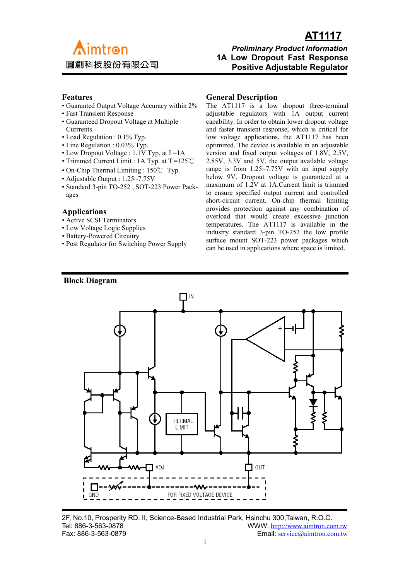

# *<u>AT1117</u>* **Aimtron** *Preliminary Product Information*  **1A Low Dropout Fast Response Positive Adjustable Regulator**

#### **Features**

- Guaranted Output Voltage Accuracy within 2%
- Fast Transient Response
- Guaranteed Dropout Voltage at Multiple **Currrents**
- Load Regulation : 0.1% Typ.
- Line Regulation : 0.03% Typ.
- Low Dropout Voltage : 1.1V Typ. at I =1A
- Trimmed Current Limit : 1A Typ. at Tj=125℃
- On-Chip Thermal Limiting : 150℃ Typ.
- Adjustable Output : 1.25~7.75V
- Standard 3-pin TO-252 , SOT-223 Power Packages

#### **Applications**

- Active SCSI Terminators
- Low Voltage Logic Supplies
- Battery-Powered Circuitry
- Post Regulator for Switching Power Supply

#### **General Description**

The AT1117 is a low dropout three-terminal adjustable regulators with 1A output current capability. In order to obtain lower dropout voltage and faster transient response, which is critical for low voltage applications, the AT1117 has been optimized. The device is available in an adjustable version and fixed output voltages of 1.8V, 2.5V, 2.85V, 3.3V and 5V, the output available voltage range is from 1.25~7.75V with an input supply below 9V. Dropout voltage is guaranteed at a maximum of 1.2V at 1A.Current limit is trimmed to ensure specified output current and controlled short-circuit current. On-chip thermal limiting provides protection against any combination of overload that would create excessive junction temperatures. The AT1117 is available in the industry standard 3-pin TO-252 the low profile surface mount SOT-223 power packages which can be used in applications where space is limited.



2F, No.10, Prosperity RD. II, Science-Based Industrial Park, Hsinchu 300,Taiwan, R.O.C. Tel: 886-3-563-0878 WWW: http://www.aimtron.com.tw Fax: 886-3-563-0879 Email: service@aimtron.com.tw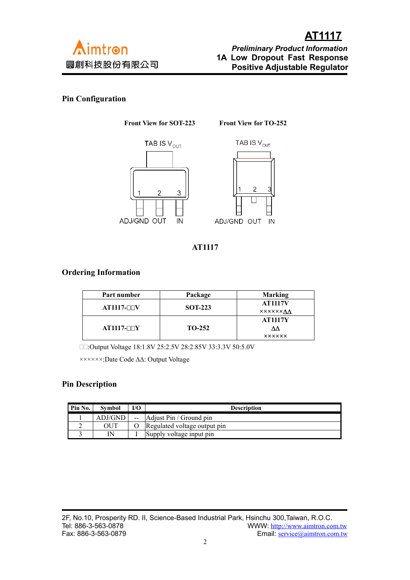

### **Pin Configuration**

**Front View for SOT-223 Front View for TO-252**





**AT1117**

### **Ordering Information**

| Part number  | Package                          | <b>Marking</b>  |  |  |
|--------------|----------------------------------|-----------------|--|--|
| $AT1117-TTV$ | <b>AT1117V</b><br><b>SOT-223</b> |                 |  |  |
|              |                                  | <b>XXXXXXAA</b> |  |  |
|              |                                  | <b>AT1117Y</b>  |  |  |
| $AT1117-TTY$ | $TO-252$                         | ۸۸              |  |  |
|              |                                  | <b>XXXXXX</b>   |  |  |

:Output Voltage 18:1.8V 25:2.5V 28:2.85V 33:3.3V 50:5.0V

××××××:Date Code ∆∆: Output Voltage

#### **Pin Description**

| Pin No. | Symbol  | I/O | <b>Description</b>           |  |  |
|---------|---------|-----|------------------------------|--|--|
|         | ADJ/GND |     | Adjust Pin / Ground pin      |  |  |
|         | OUT     |     | Regulated voltage output pin |  |  |
|         | ΙN      |     | Supply voltage input pin     |  |  |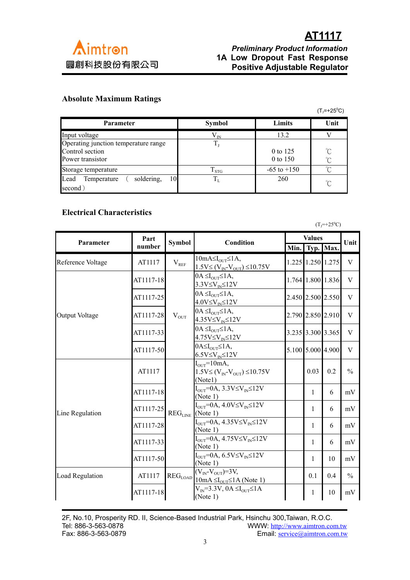

# **AT1117**<br>*Preliminary Product Informatio* *Preliminary Product Information*  **1A Low Dropout Fast Response Positive Adjustable Regulator**

## **Absolute Maximum Ratings**

 $(T_j=+25^{\circ}C)$ 

| <b>Parameter</b>                        | <b>Symbol</b>    | Limits          | Unit         |
|-----------------------------------------|------------------|-----------------|--------------|
| Input voltage                           | $\rm V_{\rm IN}$ | 13.2            |              |
| Operating junction temperature range    | $T_{1}$          |                 |              |
| Control section                         |                  | 0 to 125        | $^{\circ}$ C |
| Power transistor                        |                  | 0 to 150        | $^{\circ}C$  |
| Storage temperature                     | $T_{\rm STG}$    | $-65$ to $+150$ | $\gamma$     |
| soldering,<br>10<br>Lead<br>Temperature | $T_{L}$          | 260             | $^{\circ}C$  |
| second)                                 |                  |                 |              |

## **Electrical Characteristics**

|                       |           |                        | $(T_1 = +25^{\circ}C)$                                                                                                                                                                                     |               |                   |                   |               |
|-----------------------|-----------|------------------------|------------------------------------------------------------------------------------------------------------------------------------------------------------------------------------------------------------|---------------|-------------------|-------------------|---------------|
| Parameter             | Part      | <b>Symbol</b>          | Condition                                                                                                                                                                                                  | <b>Values</b> |                   |                   | Unit          |
|                       | number    |                        |                                                                                                                                                                                                            | Min.          |                   | Typ. Max.         |               |
| Reference Voltage     | AT1117    | $\rm V_{\rm{REF}}$     | $10mA \leq I_{OUT} \leq 1A$ ,<br>$1.5V \le (V_{IN} - V_{OUT}) \le 10.75V$                                                                                                                                  |               | 1.225 1.250 1.275 |                   | V             |
|                       | AT1117-18 | $V_{OUT}$              | $0A \leq I_{\text{OUT}} \leq 1A$ ,<br>$3.3V \leq V_{IN} \leq 12V$                                                                                                                                          |               | 1.764 1.800 1.836 |                   | V             |
|                       | AT1117-25 |                        | $0A \leq I_{\text{OUT}} \leq 1A$<br>$4.0V \leq V_{IN} \leq 12V$                                                                                                                                            |               |                   | 2.450 2.500 2.550 | V             |
| <b>Output Voltage</b> | AT1117-28 |                        | $0A \leq I_{\text{OUT}} \leq 1A$<br>$4.35V \leq V_{IN} \leq 12V$                                                                                                                                           |               |                   | 2.790 2.850 2.910 | V             |
|                       | AT1117-33 |                        | $0A \leq I_{\text{OUT}} \leq 1A$ ,<br>$4.75V \leq V_{IN} \leq 12V$                                                                                                                                         |               |                   | 3.235 3.300 3.365 | V             |
|                       | AT1117-50 |                        | $0A \leq I_{\text{OUT}} \leq 1A$<br>$6.5V \leq V_{IN} \leq 12V$                                                                                                                                            |               |                   | 5.100 5.000 4.900 | V             |
|                       | AT1117    | $\rm{REG}_{\rm{LINE}}$ | $IOUT=10mA,$<br>$1.5V \le (V_{IN} - V_{OUT}) \le 10.75V$<br>(Notel)                                                                                                                                        |               | 0.03              | 0.2               | $\frac{0}{0}$ |
|                       | AT1117-18 |                        | $IOUT=0A$ , $3.3V\leq VIN\leq 12V$<br>(Note 1)                                                                                                                                                             |               | 1                 | 6                 | mV            |
| Line Regulation       | AT1117-25 |                        | $I_{\text{OUT}}=0A, 4.0V \leq V_{\text{IN}} \leq 12V$<br>(Note 1)                                                                                                                                          |               | 1                 | 6                 | mV            |
|                       | AT1117-28 |                        | $I_{OUT} = 0A, 4.35V \leq V_{IN} \leq 12V$<br>(Note 1)                                                                                                                                                     |               | 1                 | 6                 | mV            |
|                       | AT1117-33 |                        | $I_{\text{OUT}} = 0A, 4.75V \leq V_{\text{IN}} \leq 12V$<br>(Note 1)                                                                                                                                       |               | 1                 | 6                 | mV            |
|                       | AT1117-50 |                        | $I_{\text{OUT}}$ =0A, 6.5V $\leq$ V <sub>IN</sub> $\leq$ 12V<br>(Note 1)                                                                                                                                   |               | 1                 | 10                | mV            |
| Load Regulation       | AT1117    |                        | $(V_{IN}$ - $V_{OUT})$ =3V,<br>$\text{REG}_{\text{LOAD}}$ $\left  \frac{10 \text{ mA} \leq I_{\text{OUT}} \leq 1 \text{ A (Note 1)}}{10 \text{ mA} \leq I_{\text{OUT}} \leq 1 \text{ A (Note 1)}} \right $ |               | 0.1               | 0.4               | $\frac{0}{0}$ |
|                       | AT1117-18 |                        | $V_{\text{IN}}=3.3V$ , $0A \leq I_{\text{OUT}} \leq 1A$<br>(Note 1)                                                                                                                                        |               | 1                 | 10                | mV            |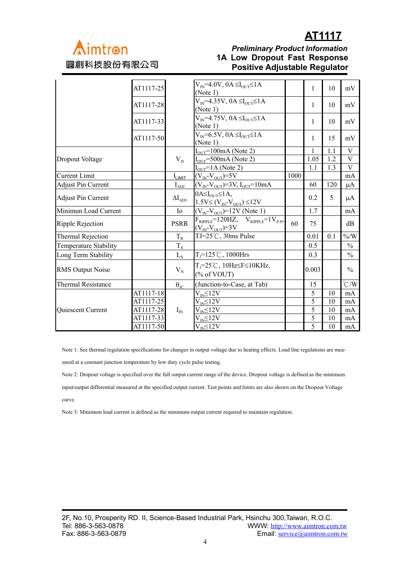

# **AT1117**<br>Preliminary Product Information *Preliminary Product Information* **IA Low Dropout Fast Response**<br>**圓創科技股份有限公司 Positive Adjustable Pequlator Positive Adjustable Regulator**

|                              | AT1117-25 |                      | $V_{IN}$ =4.0V, 0A $\leq$ I <sub>OUT</sub> $\leq$ 1A<br>(Note 1)               |      | 1     | 10  | mV             |
|------------------------------|-----------|----------------------|--------------------------------------------------------------------------------|------|-------|-----|----------------|
|                              | AT1117-28 |                      | $V_{IN}$ =4.35V, 0A $\leq$ I <sub>OUT</sub> $\leq$ 1A<br>(Note 1)              |      | 1     | 10  | mV             |
|                              | AT1117-33 |                      | $V_{IN}$ =4.75V, 0A $\leq I_{OUT} \leq 1$ A<br>(Note 1)                        |      | 1     | 10  | mV             |
|                              | AT1117-50 |                      | $V_{IN} = 6.5V$ , $0A \leq I_{OUT} \leq 1A$<br>(Note 1)                        |      | 1     | 15  | mV             |
|                              |           |                      | $IOUT=100mA$ (Note 2)                                                          |      |       | 1.1 | V              |
| <b>Dropout Voltage</b>       |           | $V_{D}$              | $IOUT=500mA$ (Note 2)                                                          |      | 1.05  | 1.2 | $\overline{V}$ |
|                              |           |                      | $I_{\text{OUT}}$ =1A (Note 2)                                                  |      | 1.1   | 1.3 | V              |
| <b>Current Limit</b>         |           | $I_{LIMIT}$          | $(V_{IN}$ - $V_{OUT})$ =5V                                                     | 1000 |       |     | mA             |
| <b>Adjust Pin Current</b>    |           | $I_{ADJ}$            | $(V_{IN}V_{OUT})=3V, I_{OUT}=10mA$                                             |      | 60    | 120 | μA             |
| <b>Adjust Pin Current</b>    |           | $\Delta I_{ADI}$     | $0A \leq I_{\text{OUT}} \leq 1A$<br>$1.5V \le (V_{IN} - V_{OUT}) \le 12V$      |      | 0.2   | 5   | μA             |
| Minimun Load Current         |           | Io                   | $(V_{IN} - V_{OUT}) = 12V$ (Note 1)                                            |      | 1.7   |     | mA             |
| <b>Ripple Rejection</b>      |           | <b>PSRR</b>          | $F_{RIPPLE}$ =120HZ, $V_{RIPPLE}$ =1 $V_{P-P}$ ,<br>$(V_{IN}$ - $V_{OUT})$ =3V | 60   | 75    |     | dB             |
| <b>Thermal Rejection</b>     |           | $T_R$                | TJ= $25^{\circ}$ C, 30ms Pulse                                                 |      | 0.01  | 0.1 | $\% / W$       |
| <b>Temperature Stability</b> |           | $T_{\rm s}$          |                                                                                |      | 0.5   |     | $\frac{0}{0}$  |
| Long Term Stability          |           | $L_{S}$              | $T_J = 125^{\circ}C$ , 1000Hrs                                                 |      | 0.3   |     | $\frac{0}{0}$  |
| <b>RMS Output Noise</b>      |           | $V_{N}$              | $T_1 = 25^{\circ}C$ , 10Hz $\leq$ F $\leq$ 10KHz,<br>(% of VOUT)               |      | 0.003 |     | $\frac{0}{0}$  |
| <b>Thermal Resistance</b>    |           | $\Theta_{\text{JC}}$ | (Junction-to-Case, at Tab)                                                     |      | 15    |     | $\degree$ C/W  |
|                              | AT1117-18 |                      | $\rm V_{\rm in}$ $\leq$ 12V                                                    |      | 5     | 10  | mA             |
|                              | AT1117-25 |                      | $V_{IN} \leq 12V$                                                              |      | 5     | 10  | mA             |
| Quiescent Current            | AT1117-28 | $I_{IN}$             | $V_{IN} \leq 12V$                                                              |      | 5     | 10  | mA             |
|                              | AT1117-33 |                      | $V_{IN} \leq 12V$                                                              |      | 5     | 10  | mA             |
|                              | AT1117-50 |                      | $V_{IN} \leq 12V$                                                              |      | 5     | 10  | mA             |

Note 1: See thermal regulation specifications for changes in output voltage due to heating effects. Load line regulations are mea-

sured at a constant junction temperature by low duty cycle pulse testing.

Note 2: Dropout voltage is specified over the full output current range of the device. Dropout voltage is defined as the minimum input/output differential measured at the specified output current. Test points and limits are also shown on the Dropout Voltage curve.

Note 3: Minimum load current is defined as the minimum output current required to maintain regulation.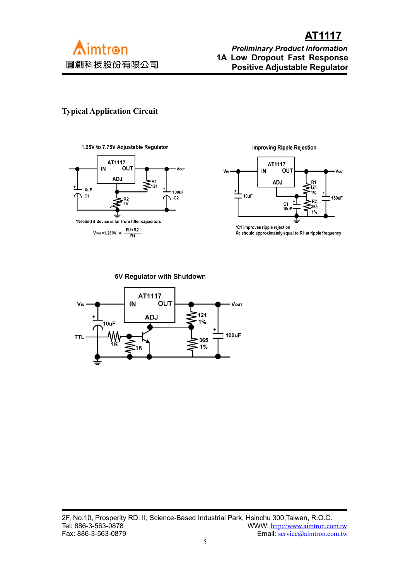

# **AT1117**<br>Preliminary Product Informatio *Preliminary Product Information*  **1A Low Dropout Fast Response Positive Adjustable Regulator**

## **Typical Application Circuit**





 $V_{\text{OUT}}$ =1.250V  $\times \frac{R1+R2}{R1}$ 

**Improving Ripple Rejection** 



\*C1 improves ripple rejection Xc should approximately equal to R1 at ripple frequency

5V Regulator with Shutdown

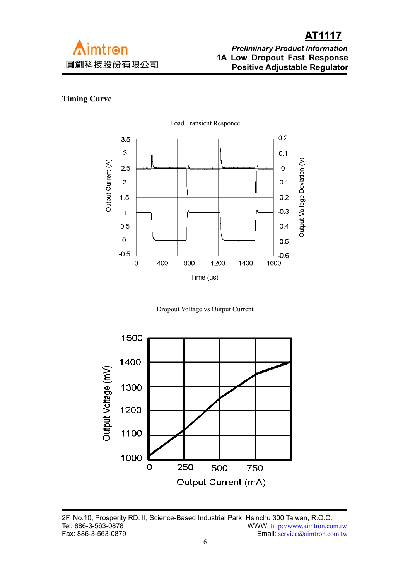

# **AT1117**<br>*Preliminary Product Informatio* *Preliminary Product Information*  **1A Low Dropout Fast Response Positive Adjustable Regulator**

## **Timing Curve**



Dropout Voltage vs Output Current



2F, No.10, Prosperity RD. II, Science-Based Industrial Park, Hsinchu 300, Taiwan, R.O.C.<br>Tel: 886-3-563-0878 WWW: http://www.aimtron.co Tel: 886-3-563-0878 WWW:  $\frac{http://www.aimtron.com.tw}{http://www.aimtron.com.tw}$  Fax: 886-3-563-0879 Email: service@aimtron.com.tw Email: service@aimtron.com.tw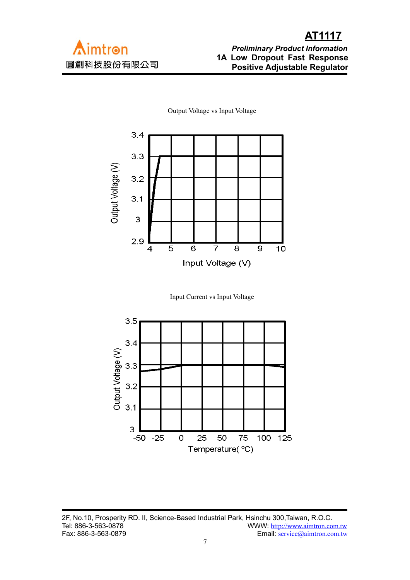

Output Voltage vs Input Voltage

Input Current vs Input Voltage



2F, No.10, Prosperity RD. II, Science-Based Industrial Park, Hsinchu 300, Taiwan, R.O.C.<br>Tel: 886-3-563-0878 WWW: http://www.aimtron.co Tel: 886-3-563-0878 WWW:  $\frac{http://www.aimtron.com.tw}{http://www.aimtron.com.tw}$  Fax: 886-3-563-0879 Email: service@aimtron.com.tw Email: service@aimtron.com.tw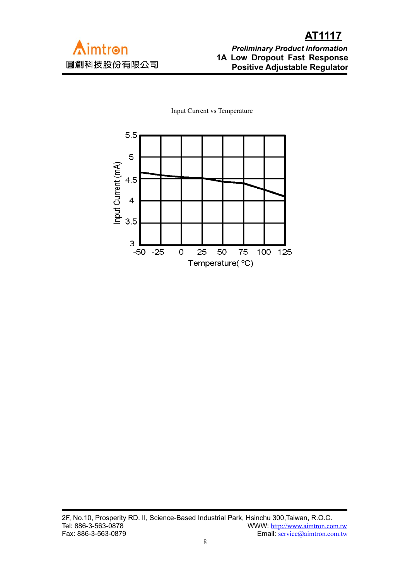Input Current vs Temperature

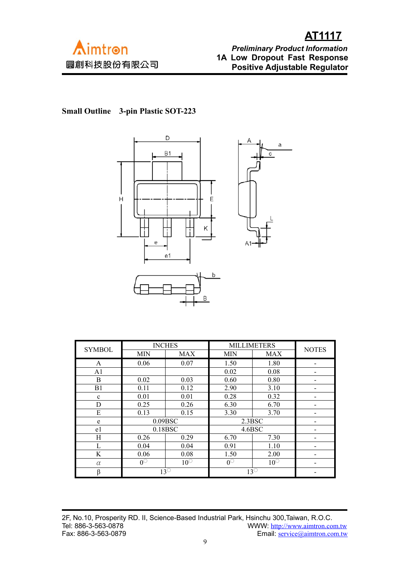

**Small Outline 3-pin Plastic SOT-223**



| <b>SYMBOL</b>  | <b>INCHES</b>          |            | <b>MILLIMETERS</b> | <b>NOTES</b> |  |
|----------------|------------------------|------------|--------------------|--------------|--|
|                | <b>MIN</b>             | <b>MAX</b> | MIN                | <b>MAX</b>   |  |
| A              | 0.06                   | 0.07       | 1.50               | 1.80         |  |
| A <sub>1</sub> |                        |            | 0.02               | 0.08         |  |
| B              | 0.02                   | 0.03       | 0.60               | 0.80         |  |
| B1             | 0.11                   | 0.12       | 2.90               | 3.10         |  |
| $\mathbf c$    | 0.01                   | 0.01       | 0.28               | 0.32         |  |
| D              | 0.25                   | 0.26       | 6.30               | 6.70         |  |
| E              | 0.13                   | 0.15       | 3.30               | 3.70         |  |
| e              | 0.09BSC                |            | 2.3BSC             |              |  |
| e1             | 0.18BSC                |            | 4.6BSC             |              |  |
| Η              | 0.26                   | 0.29       | 6.70               | 7.30         |  |
| L              | 0.04                   | 0.04       | 0.91               | 1.10         |  |
| K              | 0.06                   | 0.08       | 1.50               | 2.00         |  |
| $\alpha$       | $\overline{0^{\circ}}$ | $10^\circ$ | $0^\circ$          | $10^\circ$   |  |
| β              | $13^\circ$             |            |                    | $13^\circ$   |  |